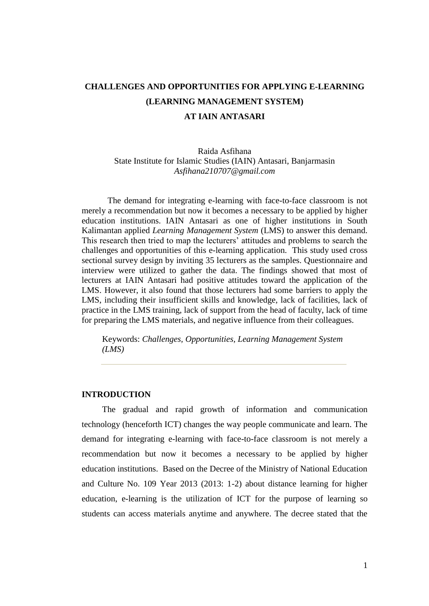# **CHALLENGES AND OPPORTUNITIES FOR APPLYING E-LEARNING (LEARNING MANAGEMENT SYSTEM) AT IAIN ANTASARI**

# Raida Asfihana State Institute for Islamic Studies (IAIN) Antasari, Banjarmasin *Asfihana210707@gmail.com*

The demand for integrating e-learning with face-to-face classroom is not merely a recommendation but now it becomes a necessary to be applied by higher education institutions. IAIN Antasari as one of higher institutions in South Kalimantan applied *Learning Management System* (LMS) to answer this demand. This research then tried to map the lecturers' attitudes and problems to search the challenges and opportunities of this e-learning application. This study used cross sectional survey design by inviting 35 lecturers as the samples. Questionnaire and interview were utilized to gather the data. The findings showed that most of lecturers at IAIN Antasari had positive attitudes toward the application of the LMS. However, it also found that those lecturers had some barriers to apply the LMS, including their insufficient skills and knowledge, lack of facilities, lack of practice in the LMS training, lack of support from the head of faculty, lack of time for preparing the LMS materials, and negative influence from their colleagues.

Keywords: *Challenges, Opportunities, Learning Management System (LMS)*

#### **INTRODUCTION**

The gradual and rapid growth of information and communication technology (henceforth ICT) changes the way people communicate and learn. The demand for integrating e-learning with face-to-face classroom is not merely a recommendation but now it becomes a necessary to be applied by higher education institutions. Based on the Decree of the Ministry of National Education and Culture No. 109 Year 2013 (2013: 1-2) about distance learning for higher education, e-learning is the utilization of ICT for the purpose of learning so students can access materials anytime and anywhere. The decree stated that the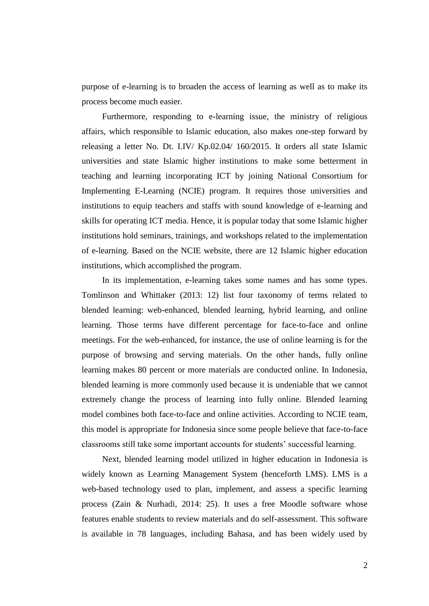purpose of e-learning is to broaden the access of learning as well as to make its process become much easier.

Furthermore, responding to e-learning issue, the ministry of religious affairs, which responsible to Islamic education, also makes one-step forward by releasing a letter No. Dt. I.IV/ Kp.02.04/ 160/2015. It orders all state Islamic universities and state Islamic higher institutions to make some betterment in teaching and learning incorporating ICT by joining National Consortium for Implementing E-Learning (NCIE) program. It requires those universities and institutions to equip teachers and staffs with sound knowledge of e-learning and skills for operating ICT media. Hence, it is popular today that some Islamic higher institutions hold seminars, trainings, and workshops related to the implementation of e-learning. Based on the NCIE website, there are 12 Islamic higher education institutions, which accomplished the program.

In its implementation, e-learning takes some names and has some types. Tomlinson and Whittaker (2013: 12) list four taxonomy of terms related to blended learning: web-enhanced, blended learning, hybrid learning, and online learning. Those terms have different percentage for face-to-face and online meetings. For the web-enhanced, for instance, the use of online learning is for the purpose of browsing and serving materials. On the other hands, fully online learning makes 80 percent or more materials are conducted online. In Indonesia, blended learning is more commonly used because it is undeniable that we cannot extremely change the process of learning into fully online. Blended learning model combines both face-to-face and online activities. According to NCIE team, this model is appropriate for Indonesia since some people believe that face-to-face classrooms still take some important accounts for students' successful learning.

Next, blended learning model utilized in higher education in Indonesia is widely known as Learning Management System (henceforth LMS). LMS is a web-based technology used to plan, implement, and assess a specific learning process (Zain & Nurhadi, 2014: 25). It uses a free Moodle software whose features enable students to review materials and do self-assessment. This software is available in 78 languages, including Bahasa, and has been widely used by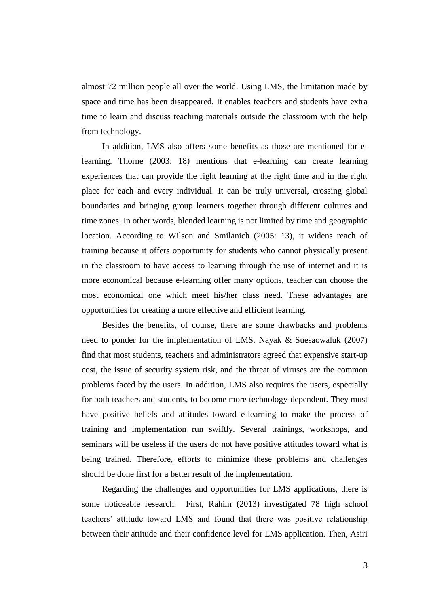almost 72 million people all over the world. Using LMS, the limitation made by space and time has been disappeared. It enables teachers and students have extra time to learn and discuss teaching materials outside the classroom with the help from technology.

In addition, LMS also offers some benefits as those are mentioned for elearning. Thorne (2003: 18) mentions that e-learning can create learning experiences that can provide the right learning at the right time and in the right place for each and every individual. It can be truly universal, crossing global boundaries and bringing group learners together through different cultures and time zones. In other words, blended learning is not limited by time and geographic location. According to Wilson and Smilanich (2005: 13), it widens reach of training because it offers opportunity for students who cannot physically present in the classroom to have access to learning through the use of internet and it is more economical because e-learning offer many options, teacher can choose the most economical one which meet his/her class need. These advantages are opportunities for creating a more effective and efficient learning.

Besides the benefits, of course, there are some drawbacks and problems need to ponder for the implementation of LMS. Nayak & Suesaowaluk (2007) find that most students, teachers and administrators agreed that expensive start-up cost, the issue of security system risk, and the threat of viruses are the common problems faced by the users. In addition, LMS also requires the users, especially for both teachers and students, to become more technology-dependent. They must have positive beliefs and attitudes toward e-learning to make the process of training and implementation run swiftly. Several trainings, workshops, and seminars will be useless if the users do not have positive attitudes toward what is being trained. Therefore, efforts to minimize these problems and challenges should be done first for a better result of the implementation.

Regarding the challenges and opportunities for LMS applications, there is some noticeable research. First, Rahim (2013) investigated 78 high school teachers' attitude toward LMS and found that there was positive relationship between their attitude and their confidence level for LMS application. Then, Asiri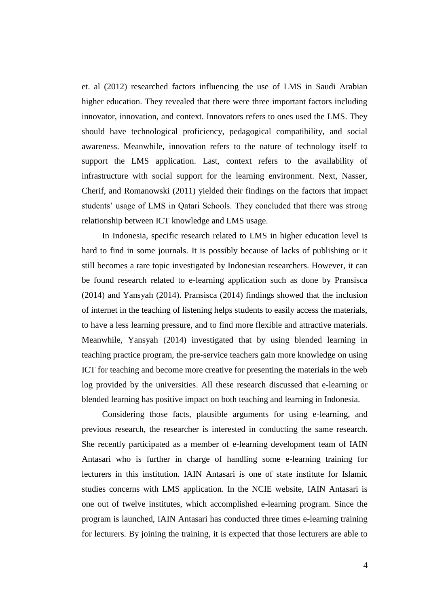et. al (2012) researched factors influencing the use of LMS in Saudi Arabian higher education. They revealed that there were three important factors including innovator, innovation, and context. Innovators refers to ones used the LMS. They should have technological proficiency, pedagogical compatibility, and social awareness. Meanwhile, innovation refers to the nature of technology itself to support the LMS application. Last, context refers to the availability of infrastructure with social support for the learning environment. Next, Nasser, Cherif, and Romanowski (2011) yielded their findings on the factors that impact students' usage of LMS in Qatari Schools. They concluded that there was strong relationship between ICT knowledge and LMS usage.

In Indonesia, specific research related to LMS in higher education level is hard to find in some journals. It is possibly because of lacks of publishing or it still becomes a rare topic investigated by Indonesian researchers. However, it can be found research related to e-learning application such as done by Pransisca (2014) and Yansyah (2014). Pransisca (2014) findings showed that the inclusion of internet in the teaching of listening helps students to easily access the materials, to have a less learning pressure, and to find more flexible and attractive materials. Meanwhile, Yansyah (2014) investigated that by using blended learning in teaching practice program, the pre-service teachers gain more knowledge on using ICT for teaching and become more creative for presenting the materials in the web log provided by the universities. All these research discussed that e-learning or blended learning has positive impact on both teaching and learning in Indonesia.

Considering those facts, plausible arguments for using e-learning, and previous research, the researcher is interested in conducting the same research. She recently participated as a member of e-learning development team of IAIN Antasari who is further in charge of handling some e-learning training for lecturers in this institution. IAIN Antasari is one of state institute for Islamic studies concerns with LMS application. In the NCIE website, IAIN Antasari is one out of twelve institutes, which accomplished e-learning program. Since the program is launched, IAIN Antasari has conducted three times e-learning training for lecturers. By joining the training, it is expected that those lecturers are able to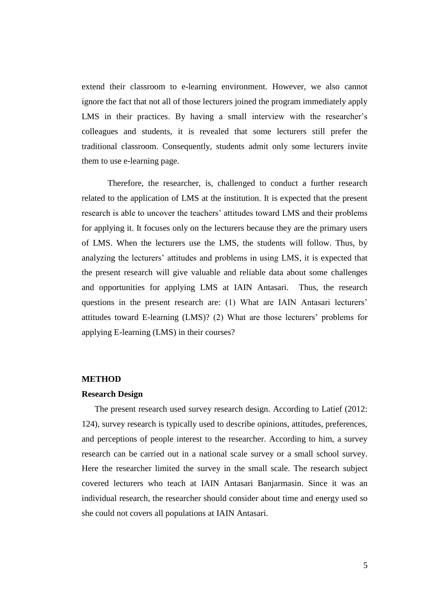extend their classroom to e-learning environment. However, we also cannot ignore the fact that not all of those lecturers joined the program immediately apply LMS in their practices. By having a small interview with the researcher's colleagues and students, it is revealed that some lecturers still prefer the traditional classroom. Consequently, students admit only some lecturers invite them to use e-learning page.

Therefore, the researcher, is, challenged to conduct a further research related to the application of LMS at the institution. It is expected that the present research is able to uncover the teachers' attitudes toward LMS and their problems for applying it. It focuses only on the lecturers because they are the primary users of LMS. When the lecturers use the LMS, the students will follow. Thus, by analyzing the lecturers' attitudes and problems in using LMS, it is expected that the present research will give valuable and reliable data about some challenges and opportunities for applying LMS at IAIN Antasari. Thus, the research questions in the present research are: (1) What are IAIN Antasari lecturers' attitudes toward E-learning (LMS)? (2) What are those lecturers' problems for applying E-learning (LMS) in their courses?

#### **METHOD**

#### **Research Design**

The present research used survey research design. According to Latief (2012: 124), survey research is typically used to describe opinions, attitudes, preferences, and perceptions of people interest to the researcher. According to him, a survey research can be carried out in a national scale survey or a small school survey. Here the researcher limited the survey in the small scale. The research subject covered lecturers who teach at IAIN Antasari Banjarmasin. Since it was an individual research, the researcher should consider about time and energy used so she could not covers all populations at IAIN Antasari.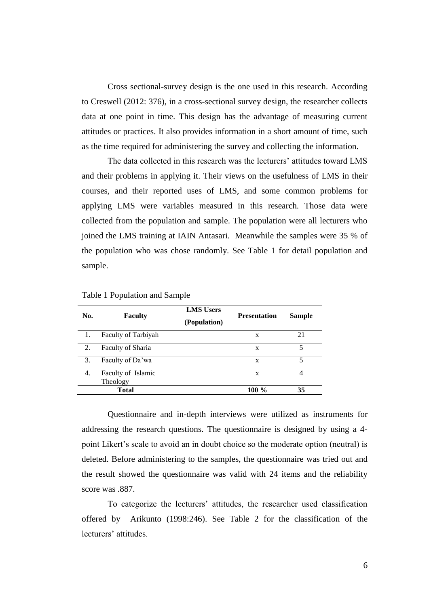Cross sectional-survey design is the one used in this research. According to Creswell (2012: 376), in a cross-sectional survey design, the researcher collects data at one point in time. This design has the advantage of measuring current attitudes or practices. It also provides information in a short amount of time, such as the time required for administering the survey and collecting the information.

The data collected in this research was the lecturers' attitudes toward LMS and their problems in applying it. Their views on the usefulness of LMS in their courses, and their reported uses of LMS, and some common problems for applying LMS were variables measured in this research. Those data were collected from the population and sample. The population were all lecturers who joined the LMS training at IAIN Antasari. Meanwhile the samples were 35 % of the population who was chose randomly. See Table 1 for detail population and sample.

| No. | <b>Faculty</b>      | <b>LMS</b> Users<br>(Population) | <b>Presentation</b> | <b>Sample</b> |
|-----|---------------------|----------------------------------|---------------------|---------------|
| 1.  | Faculty of Tarbiyah |                                  | X                   | 21            |
| 2.  | Faculty of Sharia   |                                  | X                   | 5             |
| 3.  | Faculty of Da'wa    |                                  | X                   | 5             |
| 4.  | Faculty of Islamic  |                                  | X                   | 4             |
|     | Theology            |                                  |                     |               |
|     | Total               |                                  | 100 %               | 35            |

Table 1 Population and Sample

Questionnaire and in-depth interviews were utilized as instruments for addressing the research questions. The questionnaire is designed by using a 4 point Likert's scale to avoid an in doubt choice so the moderate option (neutral) is deleted. Before administering to the samples, the questionnaire was tried out and the result showed the questionnaire was valid with 24 items and the reliability score was .887.

To categorize the lecturers' attitudes, the researcher used classification offered by Arikunto (1998:246). See Table 2 for the classification of the lecturers' attitudes.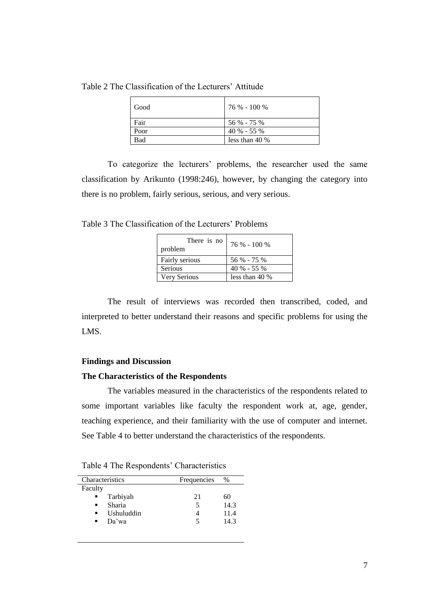Table 2 The Classification of the Lecturers' Attitude

| Good | 76 % - 100 %     |
|------|------------------|
| Fair | 56 % - 75 %      |
| Poor | $40\% - 55\%$    |
| Bad  | less than $40\%$ |

To categorize the lecturers' problems, the researcher used the same classification by Arikunto (1998:246), however, by changing the category into there is no problem, fairly serious, serious, and very serious.

Table 3 The Classification of the Lecturers' Problems

| There is no<br>problem | 76 % - 100 %     |
|------------------------|------------------|
| Fairly serious         | 56 % - 75 %      |
| Serious                | $40\% - 55\%$    |
| Very Serious           | less than $40\%$ |

The result of interviews was recorded then transcribed, coded, and interpreted to better understand their reasons and specific problems for using the LMS.

# **Findings and Discussion**

# **The Characteristics of the Respondents**

The variables measured in the characteristics of the respondents related to some important variables like faculty the respondent work at, age, gender, teaching experience, and their familiarity with the use of computer and internet. See Table 4 to better understand the characteristics of the respondents.

Table 4 The Respondents' Characteristics

| Characteristics | Frequencies | $\%$ |  |
|-----------------|-------------|------|--|
| Faculty         |             |      |  |
| Tarbiyah<br>٠   | 21          | 60   |  |
| Sharia<br>٠     | 5           | 14.3 |  |
| Ushuluddin<br>٠ |             | 11.4 |  |
| Da'wa<br>٠      | 5           | 14.3 |  |
|                 |             |      |  |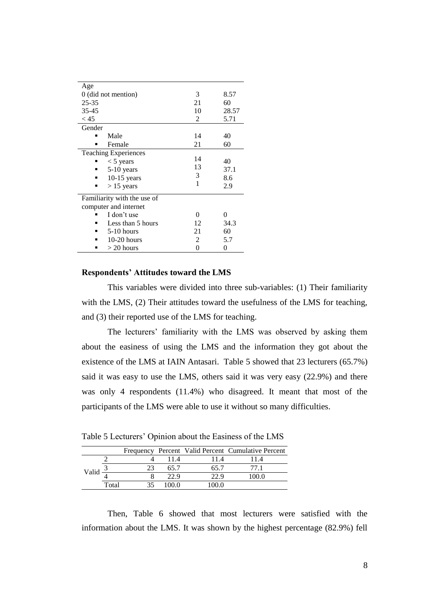| Age                         |    |       |  |  |  |  |
|-----------------------------|----|-------|--|--|--|--|
| 0 (did not mention)         | 3  | 8.57  |  |  |  |  |
| $25 - 35$                   | 21 | 60    |  |  |  |  |
| $35 - 45$                   | 10 | 28.57 |  |  |  |  |
| < 45                        | 2  | 5.71  |  |  |  |  |
| Gender                      |    |       |  |  |  |  |
| Male                        | 14 | 40    |  |  |  |  |
| Female<br>▪                 | 21 | 60    |  |  |  |  |
| <b>Teaching Experiences</b> |    |       |  |  |  |  |
| $<$ 5 years                 | 14 | 40    |  |  |  |  |
| 5-10 years                  | 13 | 37.1  |  |  |  |  |
| $10-15$ years               | 3  | 8.6   |  |  |  |  |
| $> 15$ years<br>п           | 1  | 2.9   |  |  |  |  |
| Familiarity with the use of |    |       |  |  |  |  |
| computer and internet       |    |       |  |  |  |  |
| I don't use                 | 0  | 0     |  |  |  |  |
| Less than 5 hours           | 12 | 34.3  |  |  |  |  |
| $5-10$ hours<br>٠           | 21 | 60    |  |  |  |  |
| $10-20$ hours               | 2  | 5.7   |  |  |  |  |
| $>$ 20 hours<br>▪           | 0  | 0     |  |  |  |  |

# **Respondents' Attitudes toward the LMS**

This variables were divided into three sub-variables: (1) Their familiarity with the LMS, (2) Their attitudes toward the usefulness of the LMS for teaching, and (3) their reported use of the LMS for teaching.

The lecturers' familiarity with the LMS was observed by asking them about the easiness of using the LMS and the information they got about the existence of the LMS at IAIN Antasari. Table 5 showed that 23 lecturers (65.7%) said it was easy to use the LMS, others said it was very easy (22.9%) and there was only 4 respondents (11.4%) who disagreed. It meant that most of the participants of the LMS were able to use it without so many difficulties.

| Table 5 Lecturers' Opinion about the Easiness of the LMS |  |  |  |
|----------------------------------------------------------|--|--|--|

|       |       |      |      | Frequency Percent Valid Percent Cumulative Percent |
|-------|-------|------|------|----------------------------------------------------|
| Valia |       | 114  |      | 14                                                 |
|       |       | 65.7 | 65 7 |                                                    |
|       |       | 22.9 | 22.9 | 00 ዐ                                               |
|       | Total | ഹ വ  |      |                                                    |

Then, Table 6 showed that most lecturers were satisfied with the information about the LMS. It was shown by the highest percentage (82.9%) fell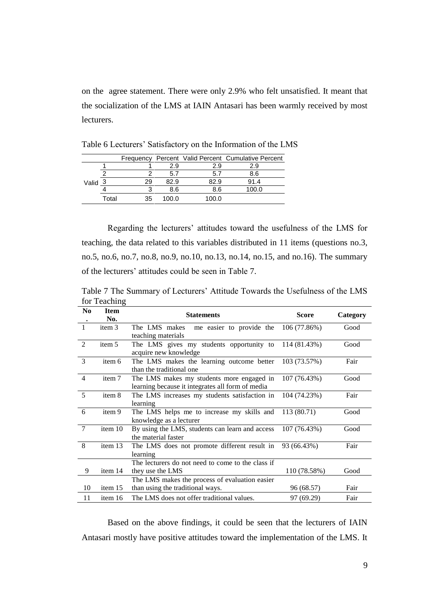on the agree statement. There were only 2.9% who felt unsatisfied. It meant that the socialization of the LMS at IAIN Antasari has been warmly received by most lecturers.

|       |       |    |       |       | Frequency Percent Valid Percent Cumulative Percent |
|-------|-------|----|-------|-------|----------------------------------------------------|
|       |       |    | 2.9   | 2.9   | 2.9                                                |
|       |       |    | 5.7   | 5.7   | 8.6                                                |
| Valid |       | 29 | 82 9  | 32.9  | 91.4                                               |
|       |       |    | 8 6   | 8.6   |                                                    |
|       | Total | 35 | 100 O | 100.0 |                                                    |

Table 6 Lecturers' Satisfactory on the Information of the LMS

Regarding the lecturers' attitudes toward the usefulness of the LMS for teaching, the data related to this variables distributed in 11 items (questions no.3, no.5, no.6, no.7, no.8, no.9, no.10, no.13, no.14, no.15, and no.16). The summary of the lecturers' attitudes could be seen in Table 7.

Table 7 The Summary of Lecturers' Attitude Towards the Usefulness of the LMS for Teaching

| N <sub>0</sub> | <b>Item</b><br>No. | <b>Statements</b>                                                                             | <b>Score</b> | Category |
|----------------|--------------------|-----------------------------------------------------------------------------------------------|--------------|----------|
| $\mathbf{1}$   | item 3             | The LMS makes me easier to provide the                                                        | 106 (77.86%) | Good     |
| 2              | item 5             | teaching materials<br>The LMS gives my students opportunity to<br>acquire new knowledge       | 114 (81.43%) | Good     |
| 3              | item 6             | The LMS makes the learning outcome better<br>than the traditional one                         | 103 (73.57%) | Fair     |
| $\overline{4}$ | item 7             | The LMS makes my students more engaged in<br>learning because it integrates all form of media | 107 (76.43%) | Good     |
| 5              | item 8             | The LMS increases my students satisfaction in<br>learning                                     | 104 (74.23%) | Fair     |
| 6              | item 9             | The LMS helps me to increase my skills and<br>knowledge as a lecturer                         | 113 (80.71)  | Good     |
| $\overline{7}$ | item 10            | By using the LMS, students can learn and access<br>the material faster                        | 107 (76.43%) | Good     |
| 8              | item 13            | The LMS does not promote different result in<br>learning                                      | 93 (66.43%)  | Fair     |
|                |                    | The lecturers do not need to come to the class if                                             |              |          |
| 9              | item 14            | they use the LMS                                                                              | 110 (78.58%) | Good     |
|                |                    | The LMS makes the process of evaluation easier                                                |              |          |
| 10             | item 15            | than using the traditional ways.                                                              | 96 (68.57)   | Fair     |
| 11             | item 16            | The LMS does not offer traditional values.                                                    | 97 (69.29)   | Fair     |

Based on the above findings, it could be seen that the lecturers of IAIN Antasari mostly have positive attitudes toward the implementation of the LMS. It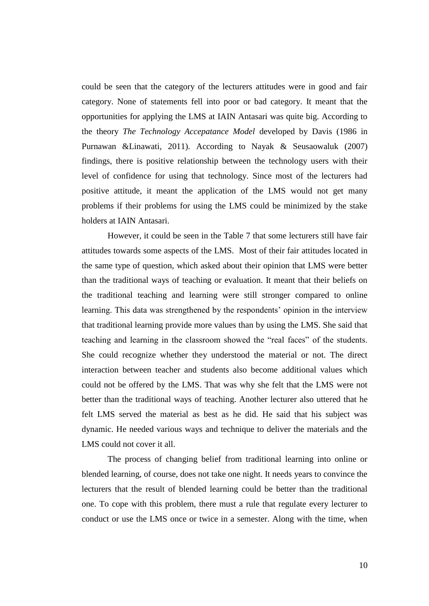could be seen that the category of the lecturers attitudes were in good and fair category. None of statements fell into poor or bad category. It meant that the opportunities for applying the LMS at IAIN Antasari was quite big. According to the theory *The Technology Accepatance Model* developed by Davis (1986 in Purnawan &Linawati, 2011). According to Nayak & Seusaowaluk (2007) findings, there is positive relationship between the technology users with their level of confidence for using that technology. Since most of the lecturers had positive attitude, it meant the application of the LMS would not get many problems if their problems for using the LMS could be minimized by the stake holders at IAIN Antasari.

However, it could be seen in the Table 7 that some lecturers still have fair attitudes towards some aspects of the LMS. Most of their fair attitudes located in the same type of question, which asked about their opinion that LMS were better than the traditional ways of teaching or evaluation. It meant that their beliefs on the traditional teaching and learning were still stronger compared to online learning. This data was strengthened by the respondents' opinion in the interview that traditional learning provide more values than by using the LMS. She said that teaching and learning in the classroom showed the "real faces" of the students. She could recognize whether they understood the material or not. The direct interaction between teacher and students also become additional values which could not be offered by the LMS. That was why she felt that the LMS were not better than the traditional ways of teaching. Another lecturer also uttered that he felt LMS served the material as best as he did. He said that his subject was dynamic. He needed various ways and technique to deliver the materials and the LMS could not cover it all.

The process of changing belief from traditional learning into online or blended learning, of course, does not take one night. It needs years to convince the lecturers that the result of blended learning could be better than the traditional one. To cope with this problem, there must a rule that regulate every lecturer to conduct or use the LMS once or twice in a semester. Along with the time, when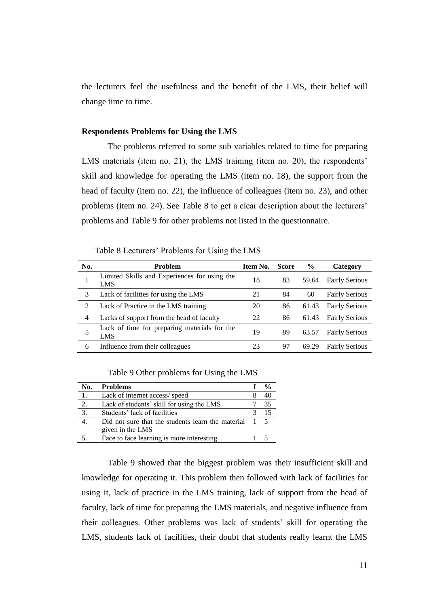the lecturers feel the usefulness and the benefit of the LMS, their belief will change time to time.

#### **Respondents Problems for Using the LMS**

The problems referred to some sub variables related to time for preparing LMS materials (item no. 21), the LMS training (item no. 20), the respondents' skill and knowledge for operating the LMS (item no. 18), the support from the head of faculty (item no. 22), the influence of colleagues (item no. 23), and other problems (item no. 24). See Table 8 to get a clear description about the lecturers' problems and Table 9 for other problems not listed in the questionnaire.

Table 8 Lecturers' Problems for Using the LMS

| No. | <b>Problem</b>                                             | Item No. | <b>Score</b> | $\frac{6}{9}$ | Category              |
|-----|------------------------------------------------------------|----------|--------------|---------------|-----------------------|
|     | Limited Skills and Experiences for using the<br><b>LMS</b> | 18       | 83           | 59.64         | <b>Fairly Serious</b> |
| 3   | Lack of facilities for using the LMS                       | 21       | 84           | 60            | <b>Fairly Serious</b> |
| 2   | Lack of Practice in the LMS training                       | 20       | 86           | 61.43         | <b>Fairly Serious</b> |
| 4   | Lacks of support from the head of faculty                  | 22       | 86           | 61.43         | <b>Fairly Serious</b> |
| 5   | Lack of time for preparing materials for the<br>LMS        | 19       | 89           | 63.57         | <b>Fairly Serious</b> |
| 6   | Influence from their colleagues                            | 23       | 97           | 69.29         | <b>Fairly Serious</b> |

Table 9 Other problems for Using the LMS

| No. | <b>Problems</b>                                                         | $\frac{0}{0}$ |
|-----|-------------------------------------------------------------------------|---------------|
| 1.  | Lack of internet access/speed                                           |               |
| 2.  | Lack of students' skill for using the LMS                               | 35            |
| 3.  | Students' lack of facilities                                            | 15            |
|     | Did not sure that the students learn the material 1<br>given in the LMS | $\sim$ 5      |
|     | Face to face learning is more interesting                               |               |

Table 9 showed that the biggest problem was their insufficient skill and knowledge for operating it. This problem then followed with lack of facilities for using it, lack of practice in the LMS training, lack of support from the head of faculty, lack of time for preparing the LMS materials, and negative influence from their colleagues. Other problems was lack of students' skill for operating the LMS, students lack of facilities, their doubt that students really learnt the LMS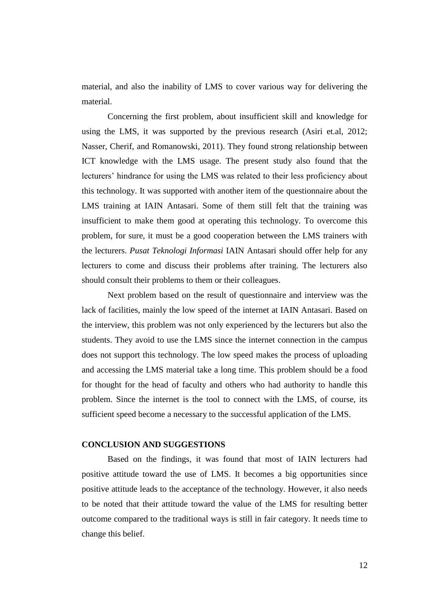material, and also the inability of LMS to cover various way for delivering the material.

Concerning the first problem, about insufficient skill and knowledge for using the LMS, it was supported by the previous research (Asiri et.al, 2012; Nasser, Cherif, and Romanowski, 2011). They found strong relationship between ICT knowledge with the LMS usage. The present study also found that the lecturers' hindrance for using the LMS was related to their less proficiency about this technology. It was supported with another item of the questionnaire about the LMS training at IAIN Antasari. Some of them still felt that the training was insufficient to make them good at operating this technology. To overcome this problem, for sure, it must be a good cooperation between the LMS trainers with the lecturers. *Pusat Teknologi Informasi* IAIN Antasari should offer help for any lecturers to come and discuss their problems after training. The lecturers also should consult their problems to them or their colleagues.

Next problem based on the result of questionnaire and interview was the lack of facilities, mainly the low speed of the internet at IAIN Antasari. Based on the interview, this problem was not only experienced by the lecturers but also the students. They avoid to use the LMS since the internet connection in the campus does not support this technology. The low speed makes the process of uploading and accessing the LMS material take a long time. This problem should be a food for thought for the head of faculty and others who had authority to handle this problem. Since the internet is the tool to connect with the LMS, of course, its sufficient speed become a necessary to the successful application of the LMS.

# **CONCLUSION AND SUGGESTIONS**

Based on the findings, it was found that most of IAIN lecturers had positive attitude toward the use of LMS. It becomes a big opportunities since positive attitude leads to the acceptance of the technology. However, it also needs to be noted that their attitude toward the value of the LMS for resulting better outcome compared to the traditional ways is still in fair category. It needs time to change this belief.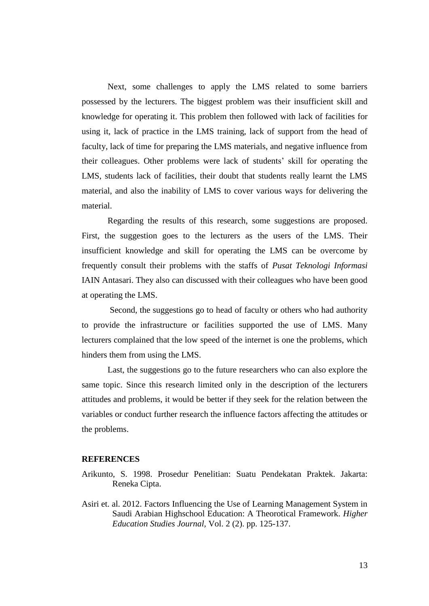Next, some challenges to apply the LMS related to some barriers possessed by the lecturers. The biggest problem was their insufficient skill and knowledge for operating it. This problem then followed with lack of facilities for using it, lack of practice in the LMS training, lack of support from the head of faculty, lack of time for preparing the LMS materials, and negative influence from their colleagues. Other problems were lack of students' skill for operating the LMS, students lack of facilities, their doubt that students really learnt the LMS material, and also the inability of LMS to cover various ways for delivering the material.

Regarding the results of this research, some suggestions are proposed. First, the suggestion goes to the lecturers as the users of the LMS. Their insufficient knowledge and skill for operating the LMS can be overcome by frequently consult their problems with the staffs of *Pusat Teknologi Informasi* IAIN Antasari. They also can discussed with their colleagues who have been good at operating the LMS.

Second, the suggestions go to head of faculty or others who had authority to provide the infrastructure or facilities supported the use of LMS. Many lecturers complained that the low speed of the internet is one the problems, which hinders them from using the LMS.

Last, the suggestions go to the future researchers who can also explore the same topic. Since this research limited only in the description of the lecturers attitudes and problems, it would be better if they seek for the relation between the variables or conduct further research the influence factors affecting the attitudes or the problems.

#### **REFERENCES**

- Arikunto, S. 1998. Prosedur Penelitian: Suatu Pendekatan Praktek. Jakarta: Reneka Cipta.
- Asiri et. al. 2012. Factors Influencing the Use of Learning Management System in Saudi Arabian Highschool Education: A Theorotical Framework. *Higher Education Studies Journal,* Vol. 2 (2). pp. 125-137.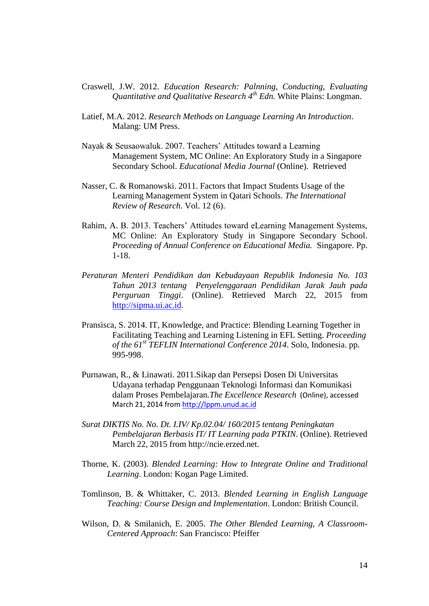- Craswell, J.W. 2012. *Education Research: Palnning, Conducting, Evaluating Quantitative and Qualitative Research 4th Edn.* White Plains: Longman.
- Latief, M.A. 2012. *Research Methods on Language Learning An Introduction*. Malang: UM Press.
- Nayak & Seusaowaluk. 2007. Teachers' Attitudes toward a Learning Management System, MC Online: An Exploratory Study in a Singapore Secondary School. *Educational Media Journal* (Online). Retrieved
- Nasser, C. & Romanowski. 2011. Factors that Impact Students Usage of the Learning Management System in Qatari Schools. *The International Review of Research*. Vol. 12 (6).
- Rahim, A. B. 2013. Teachers' Attitudes toward eLearning Management Systems, MC Online: An Exploratory Study in Singapore Secondary School. *Proceeding of Annual Conference on Educational Media.* Singapore. Pp. 1-18.
- *Peraturan Menteri Pendidikan dan Kebudayaan Republik Indonesia No. 103 Tahun 2013 tentang Penyelenggaraan Pendidikan Jarak Jauh pada Perguruan Tinggi*. (Online). Retrieved March 22, 2015 from [http://sipma.ui.ac.id.](http://sipma.ui.ac.id/)
- Pransisca, S. 2014. IT, Knowledge, and Practice: Blending Learning Together in Facilitating Teaching and Learning Listening in EFL Setting. *Proceeding of the 61st TEFLIN International Conference 2014*. Solo, Indonesia. pp. 995-998.
- Purnawan, R., & Linawati. 2011.Sikap dan Persepsi Dosen Di Universitas Udayana terhadap Penggunaan Teknologi Informasi dan Komunikasi dalam Proses Pembelajaran*.The Excellence Research* (Online), accessed March 21, 2014 from [http://lppm.unud.ac.id](http://lppm.unud.ac.id/)
- *Surat DIKTIS No. No. Dt. I.IV/ Kp.02.04/ 160/2015 tentang Peningkatan Pembelajaran Berbasis IT/ IT Learning pada PTKIN*. (Online). Retrieved March 22, 2015 from http://ncie.erzed.net.
- Thorne, K. (2003). *Blended Learning: How to Integrate Online and Traditional Learning*. London: Kogan Page Limited.
- Tomlinson, B. & Whittaker, C. 2013. *Blended Learning in English Language Teaching: Course Design and Implementation*. London: British Council.
- Wilson, D. & Smilanich, E. 2005. *The Other Blended Learning, A Classroom-Centered Approach*: San Francisco: Pfeiffer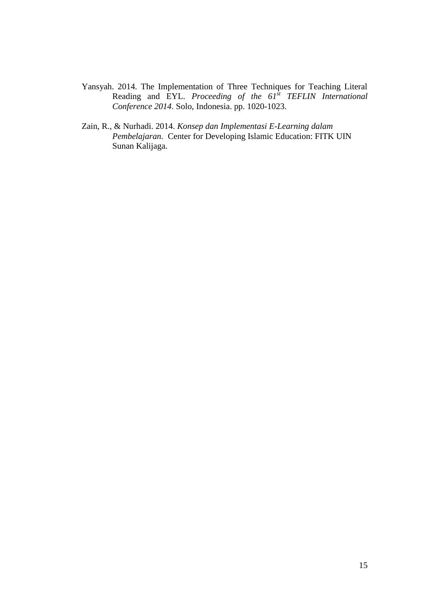- Yansyah. 2014. The Implementation of Three Techniques for Teaching Literal Reading and EYL. *Proceeding of the 61st TEFLIN International Conference 2014*. Solo, Indonesia. pp. 1020-1023.
- Zain, R., & Nurhadi. 2014. *Konsep dan Implementasi E-Learning dalam Pembelajaran.* Center for Developing Islamic Education: FITK UIN Sunan Kalijaga.